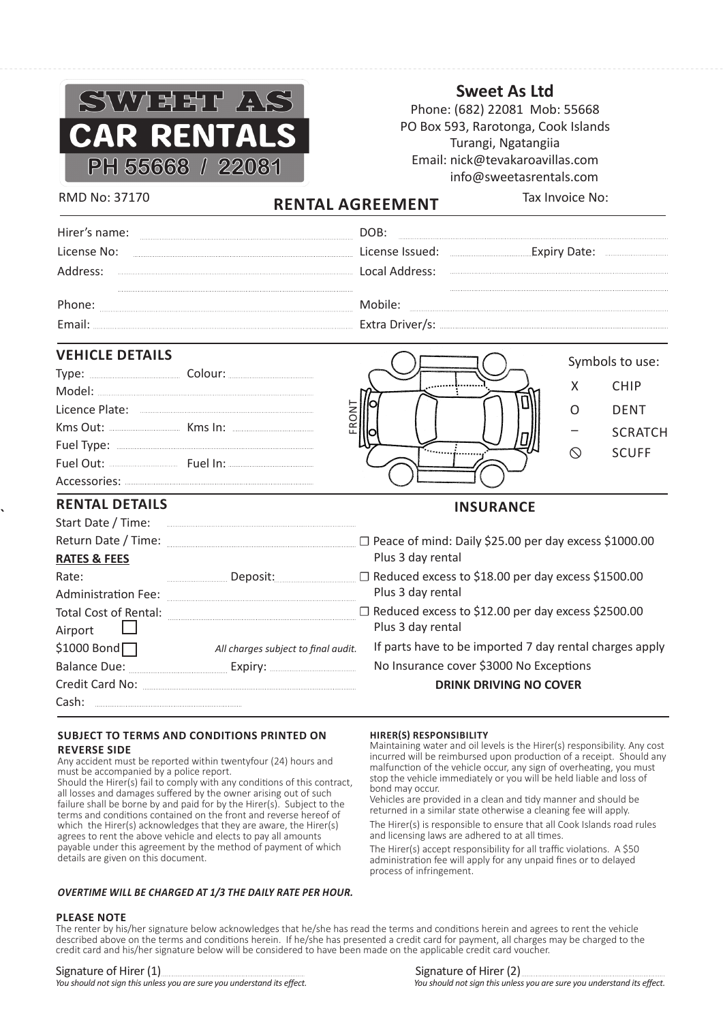

**Sweet As Ltd**

Phone: (682) 22081 Mob: 55668 PO Box 593, Rarotonga, Cook Islands Turangi, Ngatangiia Email: nick@tevakaroavillas.com info@sweetasrentals.com

RMD No: 37170 **RENTAL AGREEMENT** Tax Invoice No:

| Hirer's name: |                 |              |
|---------------|-----------------|--------------|
| License No:   | License Issued: | Expiry Date: |
| Address:      | Local Address:  |              |
| Phone:        | Iobile          |              |
| Fmail:        |                 |              |
|               |                 |              |

# **VEHICLE DETAILS**

| <b>VEHICLE DETAILS</b>                                                                                |                                                                                                                                                                                                                                                                                                                                                                                                                                                                                                                                                                                                                             |                                                                                                                                                                                                                                                                                                                                                                                                                                                                                                                                                                                                                                                                                                                                                                                           |                | Symbols to use: |
|-------------------------------------------------------------------------------------------------------|-----------------------------------------------------------------------------------------------------------------------------------------------------------------------------------------------------------------------------------------------------------------------------------------------------------------------------------------------------------------------------------------------------------------------------------------------------------------------------------------------------------------------------------------------------------------------------------------------------------------------------|-------------------------------------------------------------------------------------------------------------------------------------------------------------------------------------------------------------------------------------------------------------------------------------------------------------------------------------------------------------------------------------------------------------------------------------------------------------------------------------------------------------------------------------------------------------------------------------------------------------------------------------------------------------------------------------------------------------------------------------------------------------------------------------------|----------------|-----------------|
|                                                                                                       |                                                                                                                                                                                                                                                                                                                                                                                                                                                                                                                                                                                                                             |                                                                                                                                                                                                                                                                                                                                                                                                                                                                                                                                                                                                                                                                                                                                                                                           | X              | <b>CHIP</b>     |
|                                                                                                       |                                                                                                                                                                                                                                                                                                                                                                                                                                                                                                                                                                                                                             |                                                                                                                                                                                                                                                                                                                                                                                                                                                                                                                                                                                                                                                                                                                                                                                           |                |                 |
|                                                                                                       | FRONT                                                                                                                                                                                                                                                                                                                                                                                                                                                                                                                                                                                                                       |                                                                                                                                                                                                                                                                                                                                                                                                                                                                                                                                                                                                                                                                                                                                                                                           | O              | <b>DENT</b>     |
|                                                                                                       |                                                                                                                                                                                                                                                                                                                                                                                                                                                                                                                                                                                                                             |                                                                                                                                                                                                                                                                                                                                                                                                                                                                                                                                                                                                                                                                                                                                                                                           |                | <b>SCRATCH</b>  |
|                                                                                                       |                                                                                                                                                                                                                                                                                                                                                                                                                                                                                                                                                                                                                             |                                                                                                                                                                                                                                                                                                                                                                                                                                                                                                                                                                                                                                                                                                                                                                                           | $\circledcirc$ | <b>SCUFF</b>    |
|                                                                                                       |                                                                                                                                                                                                                                                                                                                                                                                                                                                                                                                                                                                                                             |                                                                                                                                                                                                                                                                                                                                                                                                                                                                                                                                                                                                                                                                                                                                                                                           |                |                 |
| <b>RENTAL DETAILS</b>                                                                                 |                                                                                                                                                                                                                                                                                                                                                                                                                                                                                                                                                                                                                             | <b>INSURANCE</b>                                                                                                                                                                                                                                                                                                                                                                                                                                                                                                                                                                                                                                                                                                                                                                          |                |                 |
|                                                                                                       |                                                                                                                                                                                                                                                                                                                                                                                                                                                                                                                                                                                                                             |                                                                                                                                                                                                                                                                                                                                                                                                                                                                                                                                                                                                                                                                                                                                                                                           |                |                 |
|                                                                                                       |                                                                                                                                                                                                                                                                                                                                                                                                                                                                                                                                                                                                                             | Return Date / Time: <b>Market A. 2000.00</b> Peace of mind: Daily \$25.00 per day excess \$1000.00                                                                                                                                                                                                                                                                                                                                                                                                                                                                                                                                                                                                                                                                                        |                |                 |
| <b>RATES &amp; FEES</b>                                                                               |                                                                                                                                                                                                                                                                                                                                                                                                                                                                                                                                                                                                                             | Plus 3 day rental                                                                                                                                                                                                                                                                                                                                                                                                                                                                                                                                                                                                                                                                                                                                                                         |                |                 |
| Rate:                                                                                                 |                                                                                                                                                                                                                                                                                                                                                                                                                                                                                                                                                                                                                             | Example of the Case of S18.00 per day excess \$1500.00                                                                                                                                                                                                                                                                                                                                                                                                                                                                                                                                                                                                                                                                                                                                    |                |                 |
|                                                                                                       | Administration Fee: <b>www.communistration</b>                                                                                                                                                                                                                                                                                                                                                                                                                                                                                                                                                                              | Plus 3 day rental                                                                                                                                                                                                                                                                                                                                                                                                                                                                                                                                                                                                                                                                                                                                                                         |                |                 |
|                                                                                                       |                                                                                                                                                                                                                                                                                                                                                                                                                                                                                                                                                                                                                             |                                                                                                                                                                                                                                                                                                                                                                                                                                                                                                                                                                                                                                                                                                                                                                                           |                |                 |
| Airport                                                                                               |                                                                                                                                                                                                                                                                                                                                                                                                                                                                                                                                                                                                                             | Plus 3 day rental                                                                                                                                                                                                                                                                                                                                                                                                                                                                                                                                                                                                                                                                                                                                                                         |                |                 |
|                                                                                                       |                                                                                                                                                                                                                                                                                                                                                                                                                                                                                                                                                                                                                             | If parts have to be imported 7 day rental charges apply                                                                                                                                                                                                                                                                                                                                                                                                                                                                                                                                                                                                                                                                                                                                   |                |                 |
|                                                                                                       |                                                                                                                                                                                                                                                                                                                                                                                                                                                                                                                                                                                                                             | No Insurance cover \$3000 No Exceptions                                                                                                                                                                                                                                                                                                                                                                                                                                                                                                                                                                                                                                                                                                                                                   |                |                 |
|                                                                                                       |                                                                                                                                                                                                                                                                                                                                                                                                                                                                                                                                                                                                                             | <b>DRINK DRIVING NO COVER</b>                                                                                                                                                                                                                                                                                                                                                                                                                                                                                                                                                                                                                                                                                                                                                             |                |                 |
|                                                                                                       |                                                                                                                                                                                                                                                                                                                                                                                                                                                                                                                                                                                                                             |                                                                                                                                                                                                                                                                                                                                                                                                                                                                                                                                                                                                                                                                                                                                                                                           |                |                 |
| <b>REVERSE SIDE</b><br>must be accompanied by a police report.<br>details are given on this document. | <b>SUBJECT TO TERMS AND CONDITIONS PRINTED ON</b><br>Any accident must be reported within twentyfour (24) hours and<br>Should the Hirer(s) fail to comply with any conditions of this contract,<br>all losses and damages suffered by the owner arising out of such<br>failure shall be borne by and paid for by the Hirer(s). Subject to the<br>terms and conditions contained on the front and reverse hereof of<br>which the Hirer(s) acknowledges that they are aware, the Hirer(s)<br>agrees to rent the above vehicle and elects to pay all amounts<br>payable under this agreement by the method of payment of which | HIRER(S) RESPONSIBILITY<br>Maintaining water and oil levels is the Hirer(s) responsibility. Any cost<br>incurred will be reimbursed upon production of a receipt. Should any<br>malfunction of the vehicle occur, any sign of overheating, you must<br>stop the vehicle immediately or you will be held liable and loss of<br>bond may occur.<br>Vehicles are provided in a clean and tidy manner and should be<br>returned in a similar state otherwise a cleaning fee will apply.<br>The Hirer(s) is responsible to ensure that all Cook Islands road rules<br>and licensing laws are adhered to at all times.<br>The Hirer(s) accept responsibility for all traffic violations. A \$50<br>administration fee will apply for any unpaid fines or to delayed<br>process of infringement. |                |                 |
|                                                                                                       | OVERTIME WILL BE CHARGED AT 1/3 THE DAILY RATE PER HOUR.                                                                                                                                                                                                                                                                                                                                                                                                                                                                                                                                                                    |                                                                                                                                                                                                                                                                                                                                                                                                                                                                                                                                                                                                                                                                                                                                                                                           |                |                 |
| <b>PLEASE NOTE</b>                                                                                    |                                                                                                                                                                                                                                                                                                                                                                                                                                                                                                                                                                                                                             | The renter by his/her signature below acknowledges that he/she has read the terms and conditions herein and agrees to rent the vehicle<br>described above on the terms and conditions herein. If he/she has presented a credit card for payment, all charges may be charged to the<br>credit card and his/her signature below will be considered to have been made on the applicable credit card voucher.                                                                                                                                                                                                                                                                                                                                                                                 |                |                 |
| You should not sign this unless you are sure you understand its effect.                               |                                                                                                                                                                                                                                                                                                                                                                                                                                                                                                                                                                                                                             | Signature of Hirer (2) <u>[</u> [11] Signature of Hirer (2) [11] All and the state of the state of the state of the state of the state of the state of the state of the state of the state of the state of the state of the state of<br>You should not sign this unless you are sure you understand its effect.                                                                                                                                                                                                                                                                                                                                                                                                                                                                           |                |                 |

#### **SUBJECT TO TERMS AND CONDITIONS PRINTED ON REVERSE SIDE**

#### *OVERTIME WILL BE CHARGED AT 1/3 THE DAILY RATE PER HOUR.*

#### **PLEASE NOTE**

**`**

#### **HIRER(S) RESPONSIBILITY**